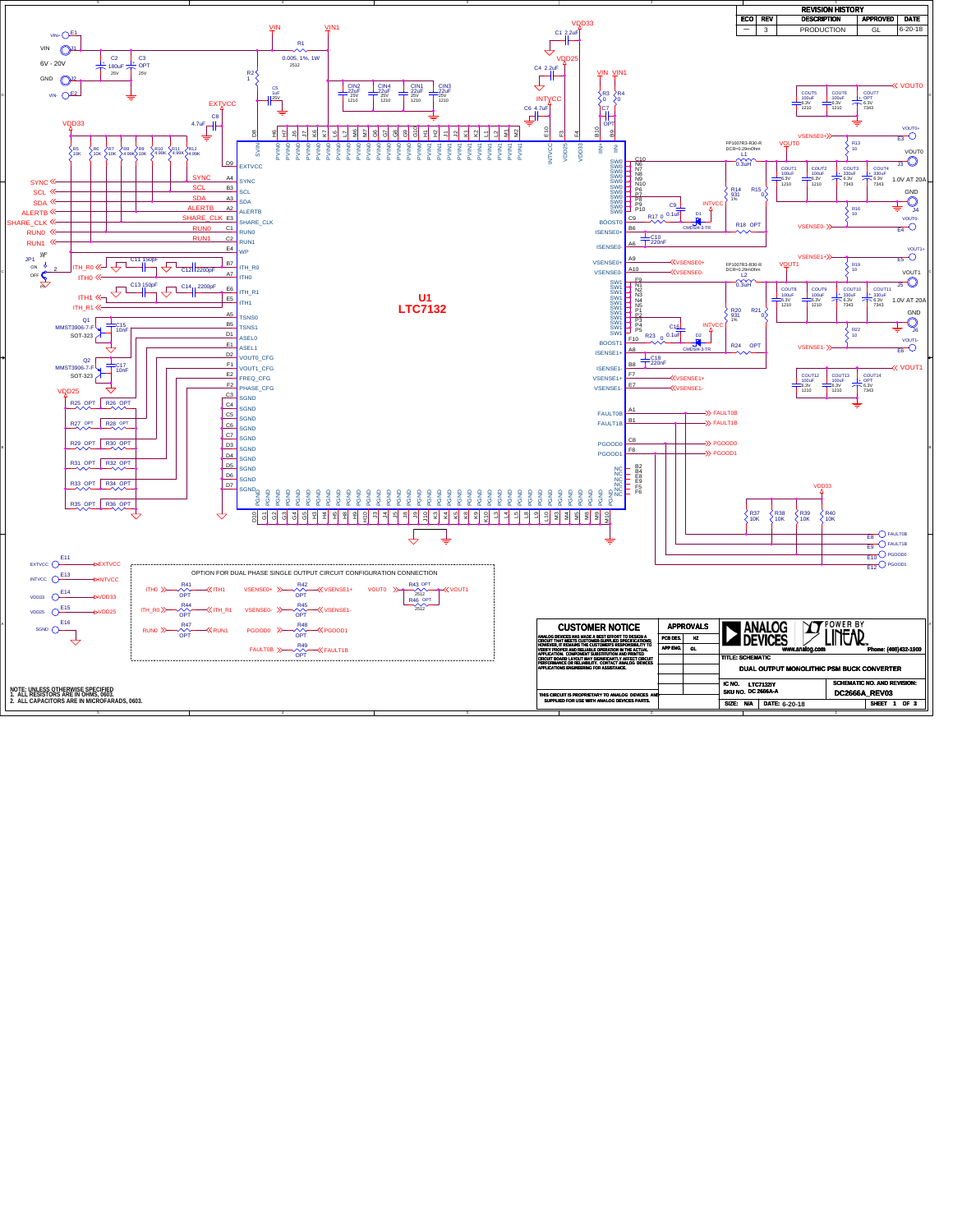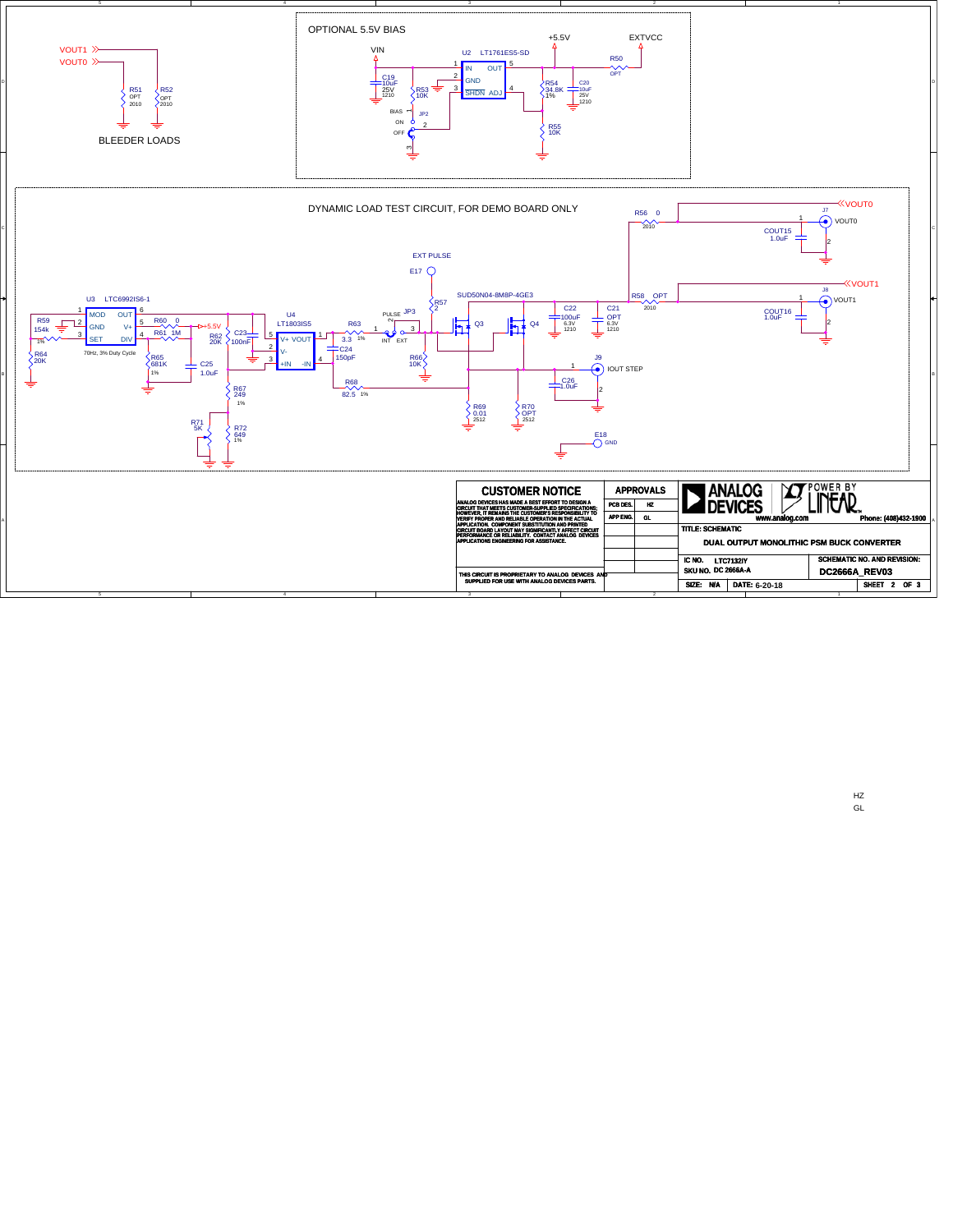